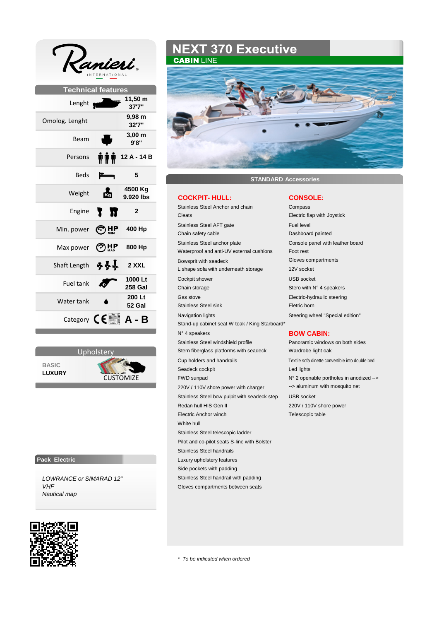|                            | INTERNATIONAL                                                  |
|----------------------------|----------------------------------------------------------------|
|                            | <b>Technical features</b>                                      |
| Lenght <b>Manufacturer</b> | 11,50 m<br>37'7"                                               |
| Omolog. Lenght             | 9,98 m<br>32'7"                                                |
| Beam                       | $3,00 \text{ m}$<br>9'8''                                      |
| Persons                    | 12 A - 14 B<br>TTT                                             |
| <b>Beds</b>                | 5                                                              |
| Weight                     | 4500 Kg<br>矞<br>9.920 lbs                                      |
| Engine                     | π<br>$\overline{2}$                                            |
| Min. power                 | 400 Hp                                                         |
| Max power                  | $HP_{MAX}$<br>800 Hp                                           |
| Shaft Length               | <u>ቅቅ</u> ተ<br>2 XXL                                           |
| <b>Fuel tank</b>           | 1000 Lt<br><b>258 Gal</b>                                      |
| Water tank                 | 200 Lt<br>52 Gal                                               |
|                            | Category $\mathsf{C}\boldsymbol{\epsilon}$ <b>A</b> - <b>B</b> |



### **Pack Electric**

*LOWRANCE or SIMARAD 12" VHF Nautical map*



# **NEXT 370 Executive CABIN LINE**



**STANDARD Accessories**

# **COCKPIT- HULL: CONSOLE:**

Stainless Steel Anchor and chain Compass Cleats Electric flap with Joystick Stainless Steel AFT gate Fuel level Chain safety cable Dashboard painted Stainless Steel anchor plate Console panel with leather board Waterproof and anti-UV external cushions Foot rest Bowsprit with seadeck Gloves compartments L shape sofa with underneath storage 12V socket Cockpit shower USB socket Chain storage Stero with N° 4 speakers Gas stove **Electric-hydraulic steering** Stainless Steel sink Eletric horn Navigation lights **Navigation** lights Steering wheel "Special edition" Stand-up cabinet seat W teak / King Starboard\* N° 4 speakers **BOW CABIN:** Stainless Steel windshield profile Panoramic windows on both sides Stern fiberglass platforms with seadeck Wardrobe light oak Cup holders and handrails Textile sofa dinette convertible into double bed Seadeck cockpit **Led lights** FWD sunpad N° 2 openable portholes in anodized --> 220V / 110V shore power with charger --> aluminum with mosquito net Stainless Steel bow pulpit with seadeck step USB socket Redan hull HIS Gen II 220V / 110V shore power Electric Anchor winch Telescopic table White hull Stainless Steel telescopic ladder Pilot and co-pilot seats S-line with Bolster Stainless Steel handrails Luxury upholstery features Side pockets with padding Stainless Steel handrail with padding Gloves compartments between seats

*\* To be indicated when ordered*